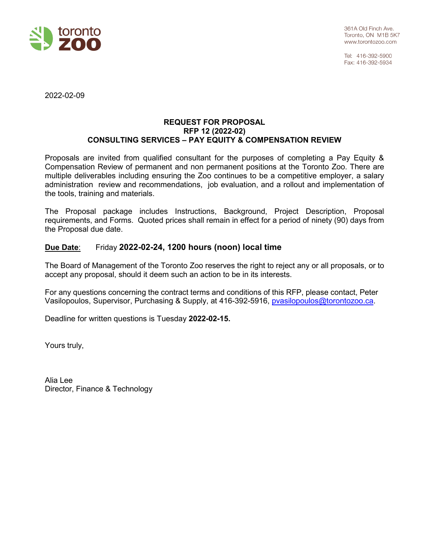

Tel: 416-392-5900 Fax: 416-392-5934

2022-02-09

#### **REQUEST FOR PROPOSAL RFP 12 (2022-02) CONSULTING SERVICES – PAY EQUITY & COMPENSATION REVIEW**

Proposals are invited from qualified consultant for the purposes of completing a Pay Equity & Compensation Review of permanent and non permanent positions at the Toronto Zoo. There are multiple deliverables including ensuring the Zoo continues to be a competitive employer, a salary administration review and recommendations, job evaluation, and a rollout and implementation of the tools, training and materials.

The Proposal package includes Instructions, Background, Project Description, Proposal requirements, and Forms. Quoted prices shall remain in effect for a period of ninety (90) days from the Proposal due date.

## **Due Date**: Friday **2022-02-24, 1200 hours (noon) local time**

The Board of Management of the Toronto Zoo reserves the right to reject any or all proposals, or to accept any proposal, should it deem such an action to be in its interests.

For any questions concerning the contract terms and conditions of this RFP, please contact, Peter Vasilopoulos, Supervisor, Purchasing & Supply, at 416-392-5916, **pvasilopoulos@torontozoo.ca.** 

Deadline for written questions is Tuesday **2022-02-15.**

Yours truly,

Alia Lee Director, Finance & Technology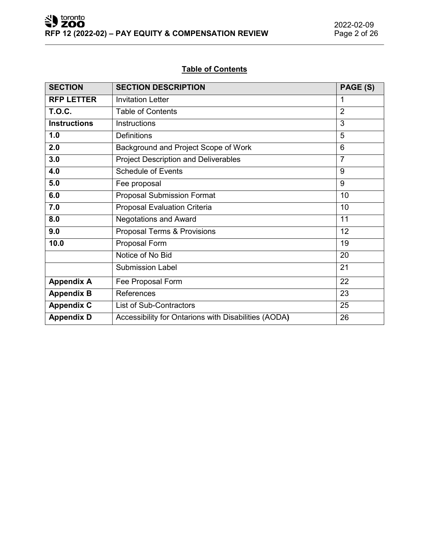# **Table of Contents**

| <b>SECTION</b>      | <b>SECTION DESCRIPTION</b>                           | PAGE (S)       |
|---------------------|------------------------------------------------------|----------------|
| <b>RFP LETTER</b>   | <b>Invitation Letter</b>                             | 1              |
| <b>T.O.C.</b>       | $\overline{2}$<br><b>Table of Contents</b>           |                |
| <b>Instructions</b> | Instructions                                         | 3              |
| 1.0                 | <b>Definitions</b>                                   | 5              |
| 2.0                 | Background and Project Scope of Work                 | 6              |
| 3.0                 | <b>Project Description and Deliverables</b>          | $\overline{7}$ |
| 4.0                 | <b>Schedule of Events</b>                            | 9              |
| 5.0                 | Fee proposal                                         | 9              |
| 6.0                 | <b>Proposal Submission Format</b>                    | 10             |
| 7.0                 | <b>Proposal Evaluation Criteria</b>                  | 10             |
| 8.0                 | <b>Negotations and Award</b>                         | 11             |
| 9.0                 | Proposal Terms & Provisions                          | 12             |
| 10.0                | Proposal Form                                        | 19             |
|                     | Notice of No Bid                                     | 20             |
|                     | <b>Submission Label</b>                              | 21             |
| <b>Appendix A</b>   | Fee Proposal Form                                    | 22             |
| <b>Appendix B</b>   | References                                           | 23             |
| <b>Appendix C</b>   | List of Sub-Contractors                              | 25             |
| <b>Appendix D</b>   | Accessibility for Ontarions with Disabilities (AODA) | 26             |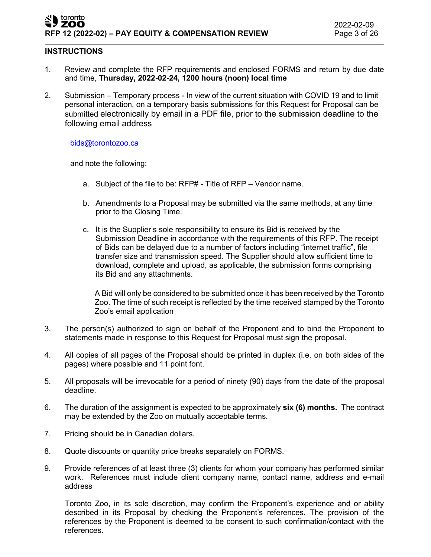#### toronto ZOO **RFP 12 (2022-02) – PAY EQUITY & COMPENSATION REVIEW** Page 3 of 26

#### **INSTRUCTIONS**

- 1. Review and complete the RFP requirements and enclosed FORMS and return by due date and time, **Thursday, 2022-02-24, 1200 hours (noon) local time**
- 2. Submission Temporary process In view of the current situation with COVID 19 and to limit personal interaction, on a temporary basis submissions for this Request for Proposal can be submitted electronically by email in a PDF file, prior to the submission deadline to the following email address

#### [bids@torontozoo.ca](mailto:bids@torontozoo.ca)

and note the following:

- a. Subject of the file to be: RFP# Title of RFP Vendor name.
- b. Amendments to a Proposal may be submitted via the same methods, at any time prior to the Closing Time.
- c. It is the Supplier's sole responsibility to ensure its Bid is received by the Submission Deadline in accordance with the requirements of this RFP. The receipt of Bids can be delayed due to a number of factors including "internet traffic", file transfer size and transmission speed. The Supplier should allow sufficient time to download, complete and upload, as applicable, the submission forms comprising its Bid and any attachments.

A Bid will only be considered to be submitted once it has been received by the Toronto Zoo. The time of such receipt is reflected by the time received stamped by the Toronto Zoo's email application

- 3. The person(s) authorized to sign on behalf of the Proponent and to bind the Proponent to statements made in response to this Request for Proposal must sign the proposal.
- 4. All copies of all pages of the Proposal should be printed in duplex (i.e. on both sides of the pages) where possible and 11 point font.
- 5. All proposals will be irrevocable for a period of ninety (90) days from the date of the proposal deadline.
- 6. The duration of the assignment is expected to be approximately **six (6) months.** The contract may be extended by the Zoo on mutually acceptable terms.
- 7. Pricing should be in Canadian dollars.
- 8. Quote discounts or quantity price breaks separately on FORMS.
- 9. Provide references of at least three (3) clients for whom your company has performed similar work. References must include client company name, contact name, address and e-mail address

Toronto Zoo, in its sole discretion, may confirm the Proponent's experience and or ability described in its Proposal by checking the Proponent's references. The provision of the references by the Proponent is deemed to be consent to such confirmation/contact with the references.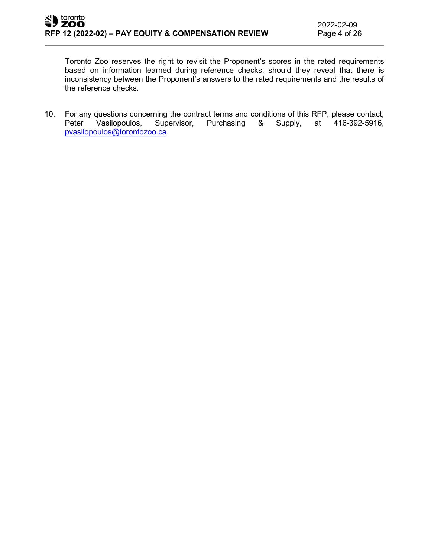Toronto Zoo reserves the right to revisit the Proponent's scores in the rated requirements based on information learned during reference checks, should they reveal that there is inconsistency between the Proponent's answers to the rated requirements and the results of the reference checks.

10. For any questions concerning the contract terms and conditions of this RFP, please contact,<br>Peter Vasilopoulos, Supervisor, Purchasing & Supply, at 416-392-5916, Peter Vasilopoulos, Supervisor, Purchasing & Supply, at 416-392-5916, [pvasilopoulos@torontozoo.ca.](mailto:pvasilopoulos@torontozoo.ca)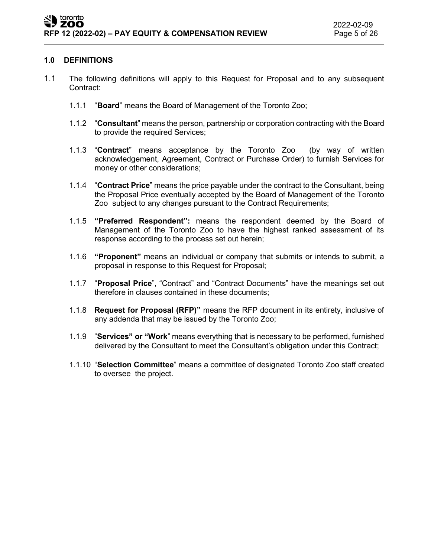#### **1.0 DEFINITIONS**

- 1.1 The following definitions will apply to this Request for Proposal and to any subsequent Contract:
	- 1.1.1 "**Board**" means the Board of Management of the Toronto Zoo;
	- 1.1.2 "**Consultant**" means the person, partnership or corporation contracting with the Board to provide the required Services;
	- 1.1.3 "**Contract**" means acceptance by the Toronto Zoo (by way of written acknowledgement, Agreement, Contract or Purchase Order) to furnish Services for money or other considerations;
	- 1.1.4 "**Contract Price**" means the price payable under the contract to the Consultant, being the Proposal Price eventually accepted by the Board of Management of the Toronto Zoo subject to any changes pursuant to the Contract Requirements;
	- 1.1.5 **"Preferred Respondent":** means the respondent deemed by the Board of Management of the Toronto Zoo to have the highest ranked assessment of its response according to the process set out herein;
	- 1.1.6 **"Proponent"** means an individual or company that submits or intends to submit, a proposal in response to this Request for Proposal;
	- 1.1.7 "**Proposal Price**", "Contract" and "Contract Documents" have the meanings set out therefore in clauses contained in these documents;
	- 1.1.8 **Request for Proposal (RFP)"** means the RFP document in its entirety, inclusive of any addenda that may be issued by the Toronto Zoo;
	- 1.1.9 "**Services" or "Work**" means everything that is necessary to be performed, furnished delivered by the Consultant to meet the Consultant's obligation under this Contract;
	- 1.1.10 "**Selection Committee**" means a committee of designated Toronto Zoo staff created to oversee the project.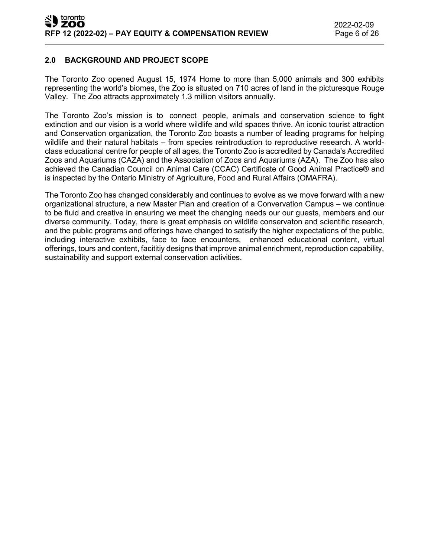## **2.0 BACKGROUND AND PROJECT SCOPE**

The Toronto Zoo opened August 15, 1974 Home to more than 5,000 animals and 300 exhibits representing the world's biomes, the Zoo is situated on 710 acres of land in the picturesque Rouge Valley. The Zoo attracts approximately 1.3 million visitors annually.

The Toronto Zoo's mission is to connect people, animals and conservation science to fight extinction and our vision is a world where wildlife and wild spaces thrive. An iconic tourist attraction and Conservation organization, the Toronto Zoo boasts a number of leading programs for helping wildlife and their natural habitats – from species reintroduction to reproductive research. A worldclass educational centre for people of all ages, the Toronto Zoo is accredited by Canada's Accredited Zoos and Aquariums (CAZA) and the Association of Zoos and Aquariums (AZA). The Zoo has also achieved the Canadian Council on Animal Care (CCAC) Certificate of Good Animal Practice® and is inspected by the Ontario Ministry of Agriculture, Food and Rural Affairs (OMAFRA).

The Toronto Zoo has changed considerably and continues to evolve as we move forward with a new organizational structure, a new Master Plan and creation of a Convervation Campus – we continue to be fluid and creative in ensuring we meet the changing needs our our guests, members and our diverse community. Today, there is great emphasis on wildlife conservaton and scientific research, and the public programs and offerings have changed to satisify the higher expectations of the public, including interactive exhibits, face to face encounters, enhanced educational content, virtual offerings, tours and content, facititiy designs that improve animal enrichment, reproduction capability, sustainability and support external conservation activities.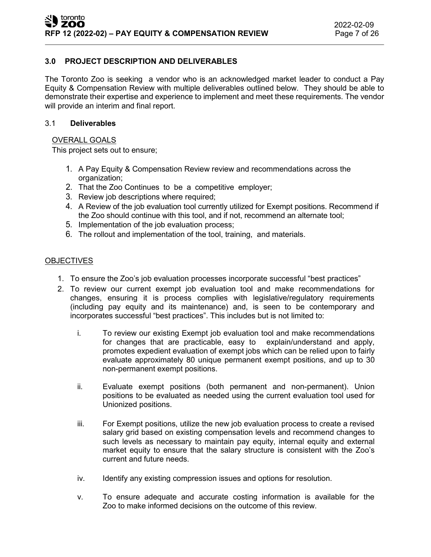## **3.0 PROJECT DESCRIPTION AND DELIVERABLES**

The Toronto Zoo is seeking a vendor who is an acknowledged market leader to conduct a Pay Equity & Compensation Review with multiple deliverables outlined below. They should be able to demonstrate their expertise and experience to implement and meet these requirements. The vendor will provide an interim and final report.

#### 3.1 **Deliverables**

#### OVERALL GOALS

This project sets out to ensure;

- 1. A Pay Equity & Compensation Review review and recommendations across the organization;
- 2. That the Zoo Continues to be a competitive employer;
- 3. Review job descriptions where required;
- 4. A Review of the job evaluation tool currently utilized for Exempt positions. Recommend if the Zoo should continue with this tool, and if not, recommend an alternate tool;
- 5. Implementation of the job evaluation process;
- 6. The rollout and implementation of the tool, training, and materials.

#### **OBJECTIVES**

- 1. To ensure the Zoo's job evaluation processes incorporate successful "best practices"
- 2. To review our current exempt job evaluation tool and make recommendations for changes, ensuring it is process complies with legislative/regulatory requirements (including pay equity and its maintenance) and, is seen to be contemporary and incorporates successful "best practices". This includes but is not limited to:
	- i. To review our existing Exempt job evaluation tool and make recommendations for changes that are practicable, easy to explain/understand and apply, promotes expedient evaluation of exempt jobs which can be relied upon to fairly evaluate approximately 80 unique permanent exempt positions, and up to 30 non-permanent exempt positions.
	- ii. Evaluate exempt positions (both permanent and non-permanent). Union positions to be evaluated as needed using the current evaluation tool used for Unionized positions.
	- iii. For Exempt positions, utilize the new job evaluation process to create a revised salary grid based on existing compensation levels and recommend changes to such levels as necessary to maintain pay equity, internal equity and external market equity to ensure that the salary structure is consistent with the Zoo's current and future needs.
	- iv. Identify any existing compression issues and options for resolution.
	- v. To ensure adequate and accurate costing information is available for the Zoo to make informed decisions on the outcome of this review.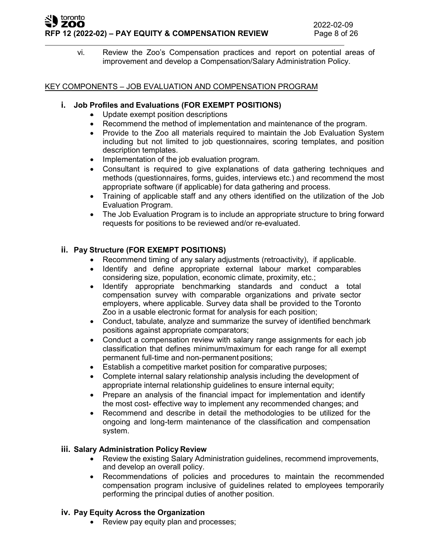#### toronto ZOO **RFP 12 (2022-02) – PAY EQUITY & COMPENSATION REVIEW** Page 8 of 26

vi. Review the Zoo's Compensation practices and report on potential areas of improvement and develop a Compensation/Salary Administration Policy.

## KEY COMPONENTS – JOB EVALUATION AND COMPENSATION PROGRAM

## **i. Job Profiles and Evaluations (FOR EXEMPT POSITIONS)**

- Update exempt position descriptions
- Recommend the method of implementation and maintenance of the program.
- Provide to the Zoo all materials required to maintain the Job Evaluation System including but not limited to job questionnaires, scoring templates, and position description templates.
- Implementation of the job evaluation program.
- Consultant is required to give explanations of data gathering techniques and methods (questionnaires, forms, guides, interviews etc.) and recommend the most appropriate software (if applicable) for data gathering and process.
- Training of applicable staff and any others identified on the utilization of the Job Evaluation Program.
- The Job Evaluation Program is to include an appropriate structure to bring forward requests for positions to be reviewed and/or re-evaluated.

# **ii. Pay Structure (FOR EXEMPT POSITIONS)**

- Recommend timing of any salary adjustments (retroactivity), if applicable.
- Identify and define appropriate external labour market comparables considering size, population, economic climate, proximity, etc.;
- Identify appropriate benchmarking standards and conduct a total compensation survey with comparable organizations and private sector employers, where applicable. Survey data shall be provided to the Toronto Zoo in a usable electronic format for analysis for each position;
- Conduct, tabulate, analyze and summarize the survey of identified benchmark positions against appropriate comparators;
- Conduct a compensation review with salary range assignments for each job classification that defines minimum/maximum for each range for all exempt permanent full-time and non-permanent positions;
- Establish a competitive market position for comparative purposes;
- Complete internal salary relationship analysis including the development of appropriate internal relationship guidelines to ensure internal equity;
- Prepare an analysis of the financial impact for implementation and identify the most cost- effective way to implement any recommended changes; and
- Recommend and describe in detail the methodologies to be utilized for the ongoing and long-term maintenance of the classification and compensation system.

## **iii. Salary Administration Policy Review**

- Review the existing Salary Administration guidelines, recommend improvements, and develop an overall policy.
- Recommendations of policies and procedures to maintain the recommended compensation program inclusive of guidelines related to employees temporarily performing the principal duties of another position.

## **iv. Pay Equity Across the Organization**

• Review pay equity plan and processes;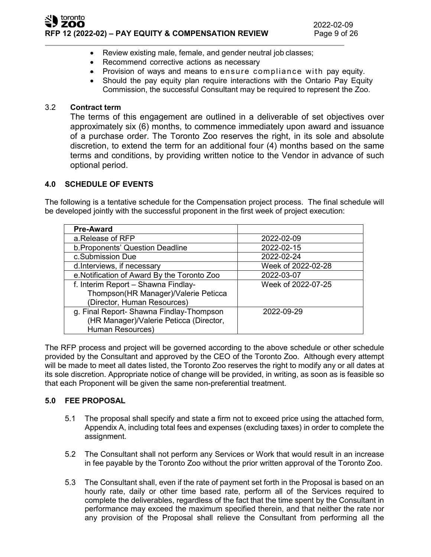

- Review existing male, female, and gender neutral job classes;
- Recommend corrective actions as necessary
- Provision of ways and means to ensure compliance with pay equity.
- Should the pay equity plan require interactions with the Ontario Pay Equity Commission, the successful Consultant may be required to represent the Zoo.

## 3.2 **Contract term**

The terms of this engagement are outlined in a deliverable of set objectives over approximately six (6) months, to commence immediately upon award and issuance of a purchase order. The Toronto Zoo reserves the right, in its sole and absolute discretion, to extend the term for an additional four (4) months based on the same terms and conditions, by providing written notice to the Vendor in advance of such optional period.

## **4.0 SCHEDULE OF EVENTS**

The following is a tentative schedule for the Compensation project process. The final schedule will be developed jointly with the successful proponent in the first week of project execution:

| <b>Pre-Award</b>                           |                    |
|--------------------------------------------|--------------------|
| a.Release of RFP                           | 2022-02-09         |
| b. Proponents' Question Deadline           | 2022-02-15         |
| c.Submission Due                           | 2022-02-24         |
| d.Interviews, if necessary                 | Week of 2022-02-28 |
| e.Notification of Award By the Toronto Zoo | 2022-03-07         |
| f. Interim Report - Shawna Findlay-        | Week of 2022-07-25 |
| Thompson(HR Manager)/Valerie Peticca       |                    |
| (Director, Human Resources)                |                    |
| g. Final Report- Shawna Findlay-Thompson   | 2022-09-29         |
| (HR Manager)/Valerie Peticca (Director,    |                    |
| Human Resources)                           |                    |

The RFP process and project will be governed according to the above schedule or other schedule provided by the Consultant and approved by the CEO of the Toronto Zoo. Although every attempt will be made to meet all dates listed, the Toronto Zoo reserves the right to modify any or all dates at its sole discretion. Appropriate notice of change will be provided, in writing, as soon as is feasible so that each Proponent will be given the same non-preferential treatment.

## **5.0 FEE PROPOSAL**

- 5.1 The proposal shall specify and state a firm not to exceed price using the attached form, Appendix A, including total fees and expenses (excluding taxes) in order to complete the assignment.
- 5.2 The Consultant shall not perform any Services or Work that would result in an increase in fee payable by the Toronto Zoo without the prior written approval of the Toronto Zoo.
- 5.3 The Consultant shall, even if the rate of payment set forth in the Proposal is based on an hourly rate, daily or other time based rate, perform all of the Services required to complete the deliverables, regardless of the fact that the time spent by the Consultant in performance may exceed the maximum specified therein, and that neither the rate nor any provision of the Proposal shall relieve the Consultant from performing all the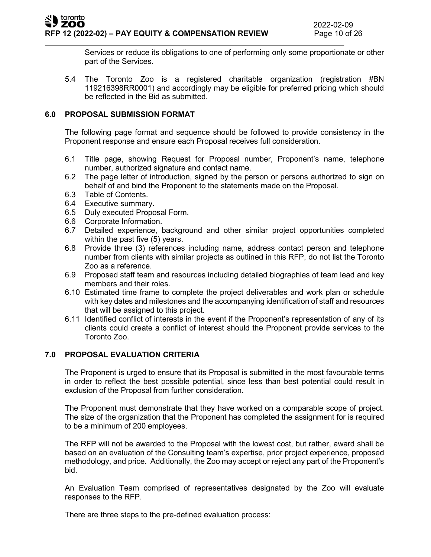Services or reduce its obligations to one of performing only some proportionate or other part of the Services.

5.4 The Toronto Zoo is a registered charitable organization (registration #BN 119216398RR0001) and accordingly may be eligible for preferred pricing which should be reflected in the Bid as submitted.

## **6.0 PROPOSAL SUBMISSION FORMAT**

The following page format and sequence should be followed to provide consistency in the Proponent response and ensure each Proposal receives full consideration.

- 6.1 Title page, showing Request for Proposal number, Proponent's name, telephone number, authorized signature and contact name.
- 6.2 The page letter of introduction, signed by the person or persons authorized to sign on behalf of and bind the Proponent to the statements made on the Proposal.
- 6.3 Table of Contents.
- 6.4 Executive summary.
- 6.5 Duly executed Proposal Form.
- 6.6 Corporate Information.
- 6.7 Detailed experience, background and other similar project opportunities completed within the past five (5) years.
- 6.8 Provide three (3) references including name, address contact person and telephone number from clients with similar projects as outlined in this RFP, do not list the Toronto Zoo as a reference.
- 6.9 Proposed staff team and resources including detailed biographies of team lead and key members and their roles.
- 6.10 Estimated time frame to complete the project deliverables and work plan or schedule with key dates and milestones and the accompanying identification of staff and resources that will be assigned to this project.
- 6.11 Identified conflict of interests in the event if the Proponent's representation of any of its clients could create a conflict of interest should the Proponent provide services to the Toronto Zoo.

## **7.0 PROPOSAL EVALUATION CRITERIA**

The Proponent is urged to ensure that its Proposal is submitted in the most favourable terms in order to reflect the best possible potential, since less than best potential could result in exclusion of the Proposal from further consideration.

The Proponent must demonstrate that they have worked on a comparable scope of project. The size of the organization that the Proponent has completed the assignment for is required to be a minimum of 200 employees.

The RFP will not be awarded to the Proposal with the lowest cost, but rather, award shall be based on an evaluation of the Consulting team's expertise, prior project experience, proposed methodology, and price. Additionally, the Zoo may accept or reject any part of the Proponent's bid.

An Evaluation Team comprised of representatives designated by the Zoo will evaluate responses to the RFP.

There are three steps to the pre-defined evaluation process: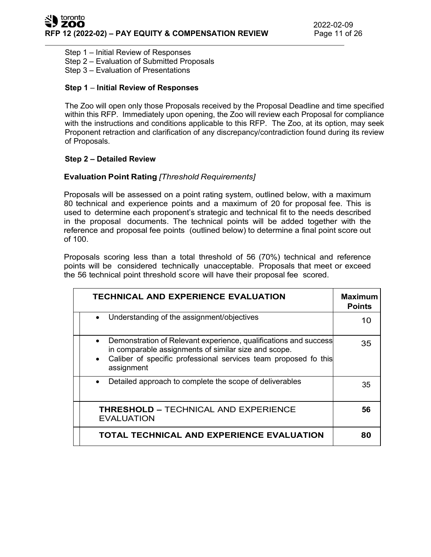Step 1 – Initial Review of Responses

Step 2 – Evaluation of Submitted Proposals

Step 3 – Evaluation of Presentations

#### **Step 1** – **Initial Review of Responses**

The Zoo will open only those Proposals received by the Proposal Deadline and time specified within this RFP. Immediately upon opening, the Zoo will review each Proposal for compliance with the instructions and conditions applicable to this RFP. The Zoo, at its option, may seek Proponent retraction and clarification of any discrepancy/contradiction found during its review of Proposals.

#### **Step 2 – Detailed Review**

## **Evaluation Point Rating** *[Threshold Requirements]*

Proposals will be assessed on a point rating system, outlined below, with a maximum 80 technical and experience points and a maximum of 20 for proposal fee. This is used to determine each proponent's strategic and technical fit to the needs described in the proposal documents. The technical points will be added together with the reference and proposal fee points (outlined below) to determine a final point score out of 100.

Proposals scoring less than a total threshold of 56 (70%) technical and reference points will be considered technically unacceptable. Proposals that meet or exceed the 56 technical point threshold score will have their proposal fee scored.

| <b>TECHNICAL AND EXPERIENCE EVALUATION</b>                                                                                                                                                                                          | <b>Maximum</b><br><b>Points</b> |
|-------------------------------------------------------------------------------------------------------------------------------------------------------------------------------------------------------------------------------------|---------------------------------|
| Understanding of the assignment/objectives                                                                                                                                                                                          | 10                              |
| Demonstration of Relevant experience, qualifications and success<br>$\bullet$<br>in comparable assignments of similar size and scope.<br>Caliber of specific professional services team proposed fo this<br>$\bullet$<br>assignment | 35                              |
| Detailed approach to complete the scope of deliverables<br>$\bullet$                                                                                                                                                                | 35                              |
| <b>THRESHOLD - TECHNICAL AND EXPERIENCE</b><br><b>EVALUATION</b>                                                                                                                                                                    | 56                              |
| TOTAL TECHNICAL AND EXPERIENCE EVALUATION                                                                                                                                                                                           | 80                              |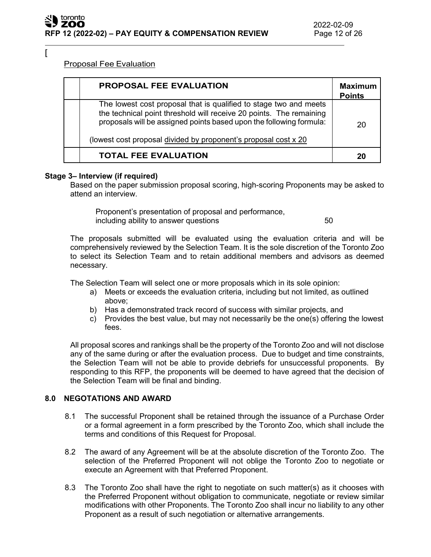$\lceil$ 

## Proposal Fee Evaluation

| <b>PROPOSAL FEE EVALUATION</b>                                                                                                                                                                                                                                                     | <b>Maximum</b><br><b>Points</b> |
|------------------------------------------------------------------------------------------------------------------------------------------------------------------------------------------------------------------------------------------------------------------------------------|---------------------------------|
| The lowest cost proposal that is qualified to stage two and meets<br>the technical point threshold will receive 20 points. The remaining<br>proposals will be assigned points based upon the following formula:<br>(lowest cost proposal divided by proponent's proposal cost x 20 | 20                              |
| <b>TOTAL FEE EVALUATION</b>                                                                                                                                                                                                                                                        | 20                              |

#### **Stage 3– Interview (if required)**

Based on the paper submission proposal scoring, high-scoring Proponents may be asked to attend an interview.

Proponent's presentation of proposal and performance, including ability to answer questions **50** 

The proposals submitted will be evaluated using the evaluation criteria and will be comprehensively reviewed by the Selection Team. It is the sole discretion of the Toronto Zoo to select its Selection Team and to retain additional members and advisors as deemed necessary.

The Selection Team will select one or more proposals which in its sole opinion:

- a) Meets or exceeds the evaluation criteria, including but not limited, as outlined above;
- b) Has a demonstrated track record of success with similar projects, and
- c) Provides the best value, but may not necessarily be the one(s) offering the lowest fees.

All proposal scores and rankings shall be the property of the Toronto Zoo and will not disclose any of the same during or after the evaluation process. Due to budget and time constraints, the Selection Team will not be able to provide debriefs for unsuccessful proponents. By responding to this RFP, the proponents will be deemed to have agreed that the decision of the Selection Team will be final and binding.

## **8.0 NEGOTATIONS AND AWARD**

- 8.1 The successful Proponent shall be retained through the issuance of a Purchase Order or a formal agreement in a form prescribed by the Toronto Zoo, which shall include the terms and conditions of this Request for Proposal.
- 8.2 The award of any Agreement will be at the absolute discretion of the Toronto Zoo. The selection of the Preferred Proponent will not oblige the Toronto Zoo to negotiate or execute an Agreement with that Preferred Proponent.
- 8.3 The Toronto Zoo shall have the right to negotiate on such matter(s) as it chooses with the Preferred Proponent without obligation to communicate, negotiate or review similar modifications with other Proponents. The Toronto Zoo shall incur no liability to any other Proponent as a result of such negotiation or alternative arrangements.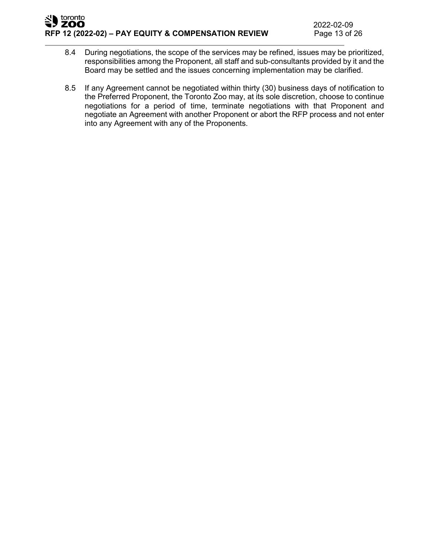- 8.4 During negotiations, the scope of the services may be refined, issues may be prioritized, responsibilities among the Proponent, all staff and sub-consultants provided by it and the Board may be settled and the issues concerning implementation may be clarified.
- 8.5 If any Agreement cannot be negotiated within thirty (30) business days of notification to the Preferred Proponent, the Toronto Zoo may, at its sole discretion, choose to continue negotiations for a period of time, terminate negotiations with that Proponent and negotiate an Agreement with another Proponent or abort the RFP process and not enter into any Agreement with any of the Proponents.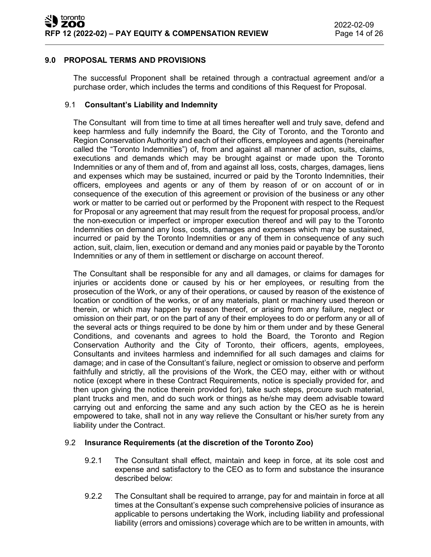## **9.0 PROPOSAL TERMS AND PROVISIONS**

The successful Proponent shall be retained through a contractual agreement and/or a purchase order, which includes the terms and conditions of this Request for Proposal.

#### 9.1 **Consultant's Liability and Indemnity**

The Consultant will from time to time at all times hereafter well and truly save, defend and keep harmless and fully indemnify the Board, the City of Toronto, and the Toronto and Region Conservation Authority and each of their officers, employees and agents (hereinafter called the "Toronto Indemnities") of, from and against all manner of action, suits, claims, executions and demands which may be brought against or made upon the Toronto Indemnities or any of them and of, from and against all loss, costs, charges, damages, liens and expenses which may be sustained, incurred or paid by the Toronto Indemnities, their officers, employees and agents or any of them by reason of or on account of or in consequence of the execution of this agreement or provision of the business or any other work or matter to be carried out or performed by the Proponent with respect to the Request for Proposal or any agreement that may result from the request for proposal process, and/or the non-execution or imperfect or improper execution thereof and will pay to the Toronto Indemnities on demand any loss, costs, damages and expenses which may be sustained, incurred or paid by the Toronto Indemnities or any of them in consequence of any such action, suit, claim, lien, execution or demand and any monies paid or payable by the Toronto Indemnities or any of them in settlement or discharge on account thereof.

The Consultant shall be responsible for any and all damages, or claims for damages for injuries or accidents done or caused by his or her employees, or resulting from the prosecution of the Work, or any of their operations, or caused by reason of the existence of location or condition of the works, or of any materials, plant or machinery used thereon or therein, or which may happen by reason thereof, or arising from any failure, neglect or omission on their part, or on the part of any of their employees to do or perform any or all of the several acts or things required to be done by him or them under and by these General Conditions, and covenants and agrees to hold the Board, the Toronto and Region Conservation Authority and the City of Toronto, their officers, agents, employees, Consultants and invitees harmless and indemnified for all such damages and claims for damage; and in case of the Consultant's failure, neglect or omission to observe and perform faithfully and strictly, all the provisions of the Work, the CEO may, either with or without notice (except where in these Contract Requirements, notice is specially provided for, and then upon giving the notice therein provided for), take such steps, procure such material, plant trucks and men, and do such work or things as he/she may deem advisable toward carrying out and enforcing the same and any such action by the CEO as he is herein empowered to take, shall not in any way relieve the Consultant or his/her surety from any liability under the Contract.

## 9.2 **Insurance Requirements (at the discretion of the Toronto Zoo)**

- 9.2.1 The Consultant shall effect, maintain and keep in force, at its sole cost and expense and satisfactory to the CEO as to form and substance the insurance described below:
- 9.2.2 The Consultant shall be required to arrange, pay for and maintain in force at all times at the Consultant's expense such comprehensive policies of insurance as applicable to persons undertaking the Work, including liability and professional liability (errors and omissions) coverage which are to be written in amounts, with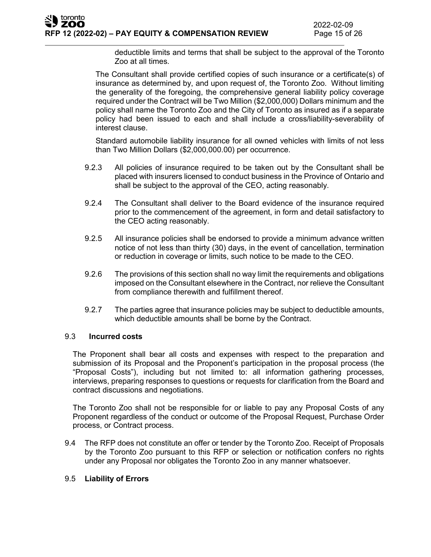deductible limits and terms that shall be subject to the approval of the Toronto Zoo at all times.

The Consultant shall provide certified copies of such insurance or a certificate(s) of insurance as determined by, and upon request of, the Toronto Zoo. Without limiting the generality of the foregoing, the comprehensive general liability policy coverage required under the Contract will be Two Million (\$2,000,000) Dollars minimum and the policy shall name the Toronto Zoo and the City of Toronto as insured as if a separate policy had been issued to each and shall include a cross/liability-severability of interest clause.

Standard automobile liability insurance for all owned vehicles with limits of not less than Two Million Dollars (\$2,000,000.00) per occurrence.

- 9.2.3 All policies of insurance required to be taken out by the Consultant shall be placed with insurers licensed to conduct business in the Province of Ontario and shall be subject to the approval of the CEO, acting reasonably.
- 9.2.4 The Consultant shall deliver to the Board evidence of the insurance required prior to the commencement of the agreement, in form and detail satisfactory to the CEO acting reasonably.
- 9.2.5 All insurance policies shall be endorsed to provide a minimum advance written notice of not less than thirty (30) days, in the event of cancellation, termination or reduction in coverage or limits, such notice to be made to the CEO.
- 9.2.6 The provisions of this section shall no way limit the requirements and obligations imposed on the Consultant elsewhere in the Contract, nor relieve the Consultant from compliance therewith and fulfillment thereof.
- 9.2.7 The parties agree that insurance policies may be subject to deductible amounts, which deductible amounts shall be borne by the Contract.

## 9.3 **Incurred costs**

The Proponent shall bear all costs and expenses with respect to the preparation and submission of its Proposal and the Proponent's participation in the proposal process (the "Proposal Costs"), including but not limited to: all information gathering processes, interviews, preparing responses to questions or requests for clarification from the Board and contract discussions and negotiations.

The Toronto Zoo shall not be responsible for or liable to pay any Proposal Costs of any Proponent regardless of the conduct or outcome of the Proposal Request, Purchase Order process, or Contract process.

9.4 The RFP does not constitute an offer or tender by the Toronto Zoo. Receipt of Proposals by the Toronto Zoo pursuant to this RFP or selection or notification confers no rights under any Proposal nor obligates the Toronto Zoo in any manner whatsoever.

## 9.5 **Liability of Errors**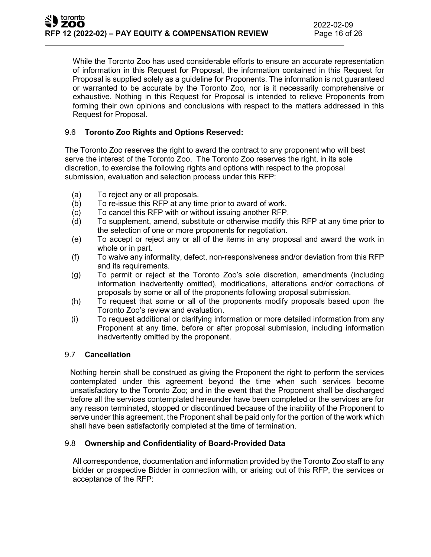While the Toronto Zoo has used considerable efforts to ensure an accurate representation of information in this Request for Proposal, the information contained in this Request for Proposal is supplied solely as a guideline for Proponents. The information is not guaranteed or warranted to be accurate by the Toronto Zoo, nor is it necessarily comprehensive or exhaustive. Nothing in this Request for Proposal is intended to relieve Proponents from forming their own opinions and conclusions with respect to the matters addressed in this Request for Proposal.

## 9.6 **Toronto Zoo Rights and Options Reserved:**

The Toronto Zoo reserves the right to award the contract to any proponent who will best serve the interest of the Toronto Zoo. The Toronto Zoo reserves the right, in its sole discretion, to exercise the following rights and options with respect to the proposal submission, evaluation and selection process under this RFP:

- (a) To reject any or all proposals.
- (b) To re-issue this RFP at any time prior to award of work.
- (c) To cancel this RFP with or without issuing another RFP.
- (d) To supplement, amend, substitute or otherwise modify this RFP at any time prior to the selection of one or more proponents for negotiation.
- (e) To accept or reject any or all of the items in any proposal and award the work in whole or in part.
- (f) To waive any informality, defect, non-responsiveness and/or deviation from this RFP and its requirements.
- (g) To permit or reject at the Toronto Zoo's sole discretion, amendments (including information inadvertently omitted), modifications, alterations and/or corrections of proposals by some or all of the proponents following proposal submission.
- (h) To request that some or all of the proponents modify proposals based upon the Toronto Zoo's review and evaluation.
- (i) To request additional or clarifying information or more detailed information from any Proponent at any time, before or after proposal submission, including information inadvertently omitted by the proponent.

## 9.7 **Cancellation**

Nothing herein shall be construed as giving the Proponent the right to perform the services contemplated under this agreement beyond the time when such services become unsatisfactory to the Toronto Zoo; and in the event that the Proponent shall be discharged before all the services contemplated hereunder have been completed or the services are for any reason terminated, stopped or discontinued because of the inability of the Proponent to serve under this agreement, the Proponent shall be paid only for the portion of the work which shall have been satisfactorily completed at the time of termination.

#### 9.8 **Ownership and Confidentiality of Board-Provided Data**

All correspondence, documentation and information provided by the Toronto Zoo staff to any bidder or prospective Bidder in connection with, or arising out of this RFP, the services or acceptance of the RFP: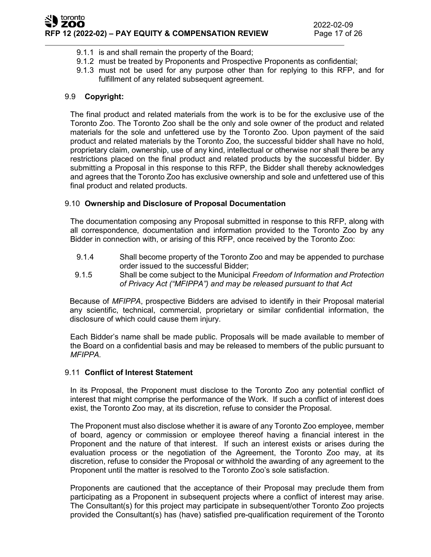- 9.1.1 is and shall remain the property of the Board;
- 9.1.2 must be treated by Proponents and Prospective Proponents as confidential;
- 9.1.3 must not be used for any purpose other than for replying to this RFP, and for fulfillment of any related subsequent agreement.

## 9.9 **Copyright:**

The final product and related materials from the work is to be for the exclusive use of the Toronto Zoo. The Toronto Zoo shall be the only and sole owner of the product and related materials for the sole and unfettered use by the Toronto Zoo. Upon payment of the said product and related materials by the Toronto Zoo, the successful bidder shall have no hold, proprietary claim, ownership, use of any kind, intellectual or otherwise nor shall there be any restrictions placed on the final product and related products by the successful bidder. By submitting a Proposal in this response to this RFP, the Bidder shall thereby acknowledges and agrees that the Toronto Zoo has exclusive ownership and sole and unfettered use of this final product and related products.

#### 9.10 **Ownership and Disclosure of Proposal Documentation**

The documentation composing any Proposal submitted in response to this RFP, along with all correspondence, documentation and information provided to the Toronto Zoo by any Bidder in connection with, or arising of this RFP, once received by the Toronto Zoo:

- 9.1.4 Shall become property of the Toronto Zoo and may be appended to purchase order issued to the successful Bidder;
- 9.1.5 Shall be come subject to the Municipal *Freedom of Information and Protection of Privacy Act ("MFIPPA") and may be released pursuant to that Act*

Because of *MFIPPA*, prospective Bidders are advised to identify in their Proposal material any scientific, technical, commercial, proprietary or similar confidential information, the disclosure of which could cause them injury.

Each Bidder's name shall be made public. Proposals will be made available to member of the Board on a confidential basis and may be released to members of the public pursuant to *MFIPPA.*

#### 9.11 **Conflict of Interest Statement**

In its Proposal, the Proponent must disclose to the Toronto Zoo any potential conflict of interest that might comprise the performance of the Work. If such a conflict of interest does exist, the Toronto Zoo may, at its discretion, refuse to consider the Proposal.

The Proponent must also disclose whether it is aware of any Toronto Zoo employee, member of board, agency or commission or employee thereof having a financial interest in the Proponent and the nature of that interest. If such an interest exists or arises during the evaluation process or the negotiation of the Agreement, the Toronto Zoo may, at its discretion, refuse to consider the Proposal or withhold the awarding of any agreement to the Proponent until the matter is resolved to the Toronto Zoo's sole satisfaction.

Proponents are cautioned that the acceptance of their Proposal may preclude them from participating as a Proponent in subsequent projects where a conflict of interest may arise. The Consultant(s) for this project may participate in subsequent/other Toronto Zoo projects provided the Consultant(s) has (have) satisfied pre-qualification requirement of the Toronto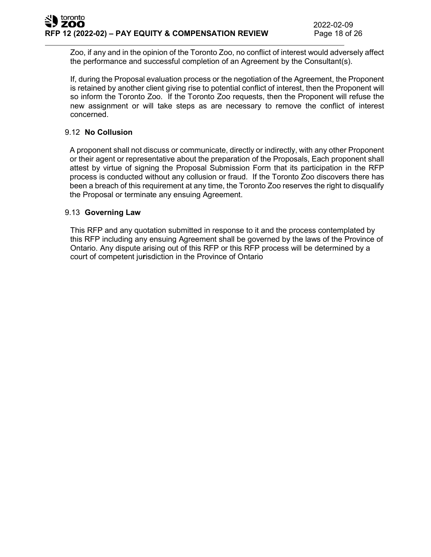Zoo, if any and in the opinion of the Toronto Zoo, no conflict of interest would adversely affect the performance and successful completion of an Agreement by the Consultant(s).

If, during the Proposal evaluation process or the negotiation of the Agreement, the Proponent is retained by another client giving rise to potential conflict of interest, then the Proponent will so inform the Toronto Zoo. If the Toronto Zoo requests, then the Proponent will refuse the new assignment or will take steps as are necessary to remove the conflict of interest concerned.

## 9.12 **No Collusion**

A proponent shall not discuss or communicate, directly or indirectly, with any other Proponent or their agent or representative about the preparation of the Proposals, Each proponent shall attest by virtue of signing the Proposal Submission Form that its participation in the RFP process is conducted without any collusion or fraud. If the Toronto Zoo discovers there has been a breach of this requirement at any time, the Toronto Zoo reserves the right to disqualify the Proposal or terminate any ensuing Agreement.

#### 9.13 **Governing Law**

This RFP and any quotation submitted in response to it and the process contemplated by this RFP including any ensuing Agreement shall be governed by the laws of the Province of Ontario. Any dispute arising out of this RFP or this RFP process will be determined by a court of competent ju**r**isdiction in the Province of Ontario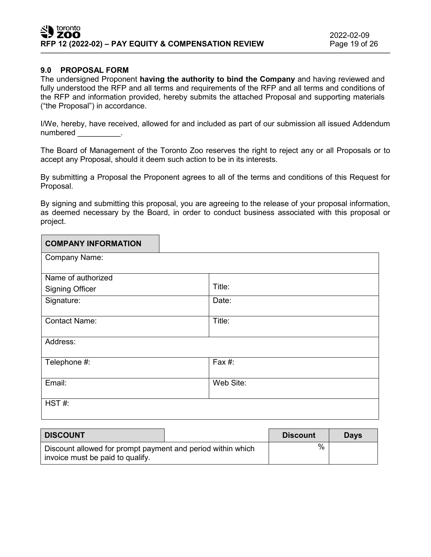## **9.0 PROPOSAL FORM**

The undersigned Proponent **having the authority to bind the Company** and having reviewed and fully understood the RFP and all terms and requirements of the RFP and all terms and conditions of the RFP and information provided, hereby submits the attached Proposal and supporting materials ("the Proposal") in accordance.

I/We, hereby, have received, allowed for and included as part of our submission all issued Addendum numbered in the set of the set of the set of the set of the set of the set of the set of the set of the set of the set of the set of the set of the set of the set of the set of the set of the set of the set of the set of t

The Board of Management of the Toronto Zoo reserves the right to reject any or all Proposals or to accept any Proposal, should it deem such action to be in its interests.

By submitting a Proposal the Proponent agrees to all of the terms and conditions of this Request for Proposal.

By signing and submitting this proposal, you are agreeing to the release of your proposal information, as deemed necessary by the Board, in order to conduct business associated with this proposal or project.

| <b>COMPANY INFORMATION</b> |           |
|----------------------------|-----------|
| Company Name:              |           |
| Name of authorized         |           |
| <b>Signing Officer</b>     | Title:    |
| Signature:                 | Date:     |
| <b>Contact Name:</b>       | Title:    |
|                            |           |
| Address:                   |           |
| Telephone #:               | Fax #:    |
|                            |           |
| Email:                     | Web Site: |
| HST#:                      |           |

| <b>DISCOUNT</b>                                                                                 |  | <b>Discount</b> | <b>Davs</b> |
|-------------------------------------------------------------------------------------------------|--|-----------------|-------------|
| Discount allowed for prompt payment and period within which<br>invoice must be paid to qualify. |  | %               |             |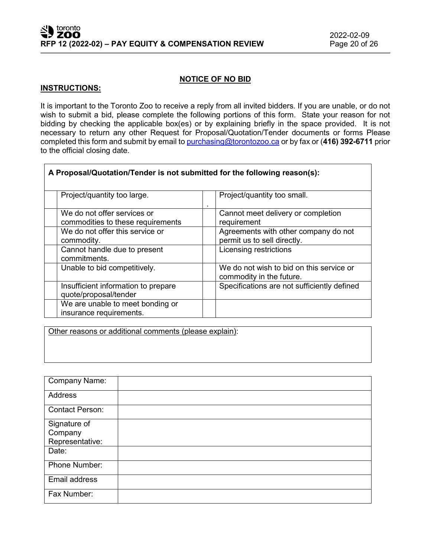٦

#### **NOTICE OF NO BID**

#### **INSTRUCTIONS:**

 $\Gamma$ 

It is important to the Toronto Zoo to receive a reply from all invited bidders. If you are unable, or do not wish to submit a bid, please complete the following portions of this form. State your reason for not bidding by checking the applicable box(es) or by explaining briefly in the space provided. It is not necessary to return any other Request for Proposal/Quotation/Tender documents or forms Please completed this form and submit by email to [purchasing@torontozoo.ca](mailto:purchasing@torontozoo.ca) or by fax or (**416) 392-6711** prior to the official closing date.

| A Proposal/Quotation/Tender is not submitted for the following reason(s): |                                                                      |  |  |  |
|---------------------------------------------------------------------------|----------------------------------------------------------------------|--|--|--|
| Project/quantity too large.                                               | Project/quantity too small.                                          |  |  |  |
| We do not offer services or<br>commodities to these requirements          | Cannot meet delivery or completion<br>requirement                    |  |  |  |
| We do not offer this service or<br>commodity.                             | Agreements with other company do not<br>permit us to sell directly.  |  |  |  |
| Cannot handle due to present<br>commitments.                              | Licensing restrictions                                               |  |  |  |
| Unable to bid competitively.                                              | We do not wish to bid on this service or<br>commodity in the future. |  |  |  |
| Insufficient information to prepare<br>quote/proposal/tender              | Specifications are not sufficiently defined                          |  |  |  |
| We are unable to meet bonding or<br>insurance requirements.               |                                                                      |  |  |  |

Other reasons or additional comments (please explain):

| Company Name:                              |  |
|--------------------------------------------|--|
| <b>Address</b>                             |  |
| <b>Contact Person:</b>                     |  |
| Signature of<br>Company<br>Representative: |  |
| Date:                                      |  |
| Phone Number:                              |  |
| Email address                              |  |
| Fax Number:                                |  |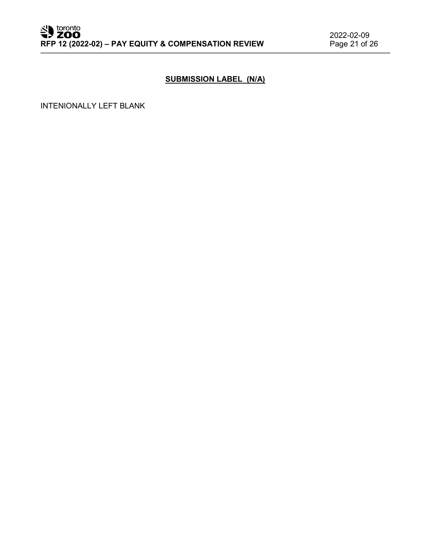# **SUBMISSION LABEL (N/A)**

INTENIONALLY LEFT BLANK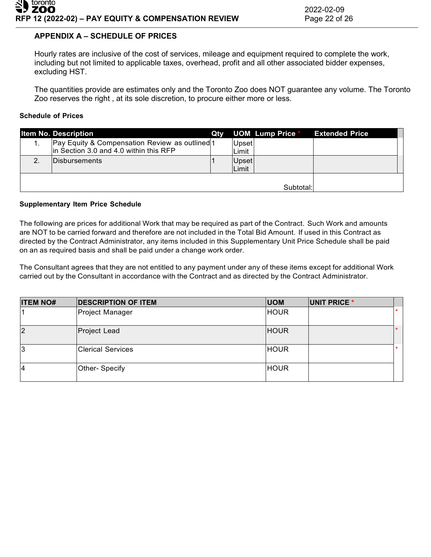# **APPENDIX A – SCHEDULE OF PRICES**

Hourly rates are inclusive of the cost of services, mileage and equipment required to complete the work, including but not limited to applicable taxes, overhead, profit and all other associated bidder expenses, excluding HST.

The quantities provide are estimates only and the Toronto Zoo does NOT guarantee any volume. The Toronto Zoo reserves the right , at its sole discretion, to procure either more or less.

#### **Schedule of Prices**

|    | <b>Item No. Description</b>                                                              | Qty |       | <b>UOM Lump Price *</b> | <b>Extended Price</b> |
|----|------------------------------------------------------------------------------------------|-----|-------|-------------------------|-----------------------|
|    | Pay Equity & Compensation Review as outlined 1<br>in Section 3.0 and 4.0 within this RFP |     | Upset |                         |                       |
|    |                                                                                          |     | Limit |                         |                       |
| 2. | <b>IDisbursements</b>                                                                    |     | Upset |                         |                       |
|    |                                                                                          |     | Limit |                         |                       |
|    |                                                                                          |     |       |                         |                       |
|    |                                                                                          |     |       | Subtotal:               |                       |

#### **Supplementary Item Price Schedule**

The following are prices for additional Work that may be required as part of the Contract. Such Work and amounts are NOT to be carried forward and therefore are not included in the Total Bid Amount. If used in this Contract as directed by the Contract Administrator, any items included in this Supplementary Unit Price Schedule shall be paid on an as required basis and shall be paid under a change work order.

The Consultant agrees that they are not entitled to any payment under any of these items except for additional Work carried out by the Consultant in accordance with the Contract and as directed by the Contract Administrator.

| <b>ITEM NO#</b> | <b>DESCRIPTION OF ITEM</b> | <b>UOM</b>  | UNIT PRICE * |         |
|-----------------|----------------------------|-------------|--------------|---------|
|                 | Project Manager            | <b>HOUR</b> |              | $\star$ |
| $\overline{2}$  | Project Lead               | <b>HOUR</b> |              | $\ast$  |
| 13              | <b>Clerical Services</b>   | <b>HOUR</b> |              | $\star$ |
| 4               | Other- Specify             | <b>HOUR</b> |              |         |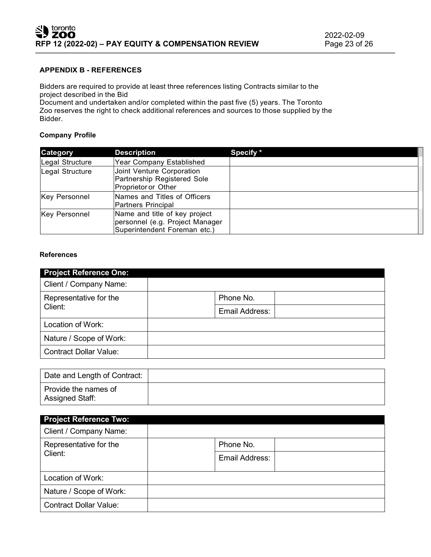## **APPENDIX B - REFERENCES**

Bidders are required to provide at least three references listing Contracts similar to the project described in the Bid

Document and undertaken and/or completed within the past five (5) years. The Toronto Zoo reserves the right to check additional references and sources to those supplied by the Bidder.

#### **Company Profile**

| <b>Category</b>      | <b>Description</b>                                                                               | Specify * |
|----------------------|--------------------------------------------------------------------------------------------------|-----------|
| Legal Structure      | <b>Year Company Established</b>                                                                  |           |
| Legal Structure      | Joint Venture Corporation<br>Partnership Registered Sole<br>Proprietor or Other                  |           |
| <b>Key Personnel</b> | Names and Titles of Officers<br>Partners Principal                                               |           |
| <b>Key Personnel</b> | Name and title of key project<br>personnel (e.g. Project Manager<br>Superintendent Foreman etc.) |           |

#### **References**

| <b>Project Reference One:</b> |                |  |
|-------------------------------|----------------|--|
| Client / Company Name:        |                |  |
| Representative for the        | Phone No.      |  |
| Client:                       | Email Address: |  |
| Location of Work:             |                |  |
| Nature / Scope of Work:       |                |  |
| <b>Contract Dollar Value:</b> |                |  |

| Date and Length of Contract:            |  |
|-----------------------------------------|--|
| Provide the names of<br>Assigned Staff: |  |

| <b>Project Reference Two:</b>     |                |
|-----------------------------------|----------------|
| Client / Company Name:            |                |
| Representative for the<br>Client: | Phone No.      |
|                                   | Email Address: |
| Location of Work:                 |                |
| Nature / Scope of Work:           |                |
| <b>Contract Dollar Value:</b>     |                |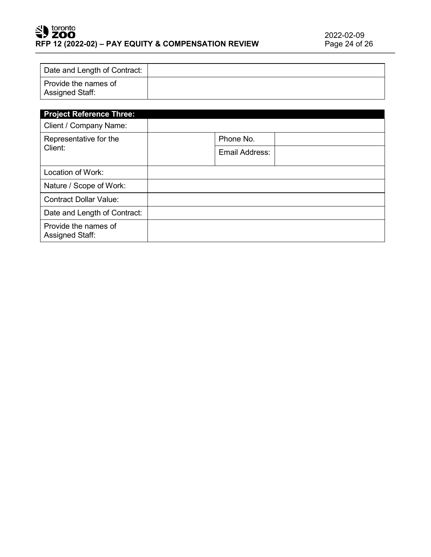# SU toronto **RFP 12 (2022-02) – PAY EQUITY & COMPENSATION REVIEW**

| Date and Length of Contract:            |  |
|-----------------------------------------|--|
| Provide the names of<br>Assigned Staff: |  |

| <b>Project Reference Three:</b>                |                |  |
|------------------------------------------------|----------------|--|
| Client / Company Name:                         |                |  |
| Representative for the<br>Client:              | Phone No.      |  |
|                                                | Email Address: |  |
| Location of Work:                              |                |  |
| Nature / Scope of Work:                        |                |  |
| <b>Contract Dollar Value:</b>                  |                |  |
| Date and Length of Contract:                   |                |  |
| Provide the names of<br><b>Assigned Staff:</b> |                |  |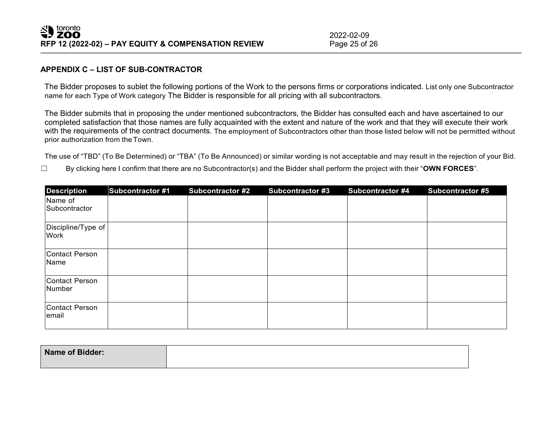2022-02-09<br>Page 25 of 26

#### **APPENDIX C – LIST OF SUB-CONTRACTOR**

The Bidder proposes to sublet the following portions of the Work to the persons firms or corporations indicated. List only one Subcontractor name for each Type of Work category The Bidder is responsible for all pricing with all subcontractors.

The Bidder submits that in proposing the under mentioned subcontractors, the Bidder has consulted each and have ascertained to our completed satisfaction that those names are fully acquainted with the extent and nature of the work and that they will execute their work with the requirements of the contract documents. The employment of Subcontractors other than those listed below will not be permitted without prior authorization from theTown.

The use of "TBD" (To Be Determined) or "TBA" (To Be Announced) or similar wording is not acceptable and may result in the rejection of your Bid.

☐ By clicking here I confirm that there are no Subcontractor(s) and the Bidder shall perform the project with their "**OWN FORCES**".

| <b>Description</b>         | <b>Subcontractor #1</b> | <b>Subcontractor #2</b> | <b>Subcontractor #3</b> | <b>Subcontractor #4</b> | <b>Subcontractor #5</b> |
|----------------------------|-------------------------|-------------------------|-------------------------|-------------------------|-------------------------|
| Name of<br>Subcontractor   |                         |                         |                         |                         |                         |
| Discipline/Type of<br>Work |                         |                         |                         |                         |                         |
| Contact Person<br>Name     |                         |                         |                         |                         |                         |
| Contact Person<br>Number   |                         |                         |                         |                         |                         |
| Contact Person<br>email    |                         |                         |                         |                         |                         |

| Name of Bidder: |  |
|-----------------|--|
|                 |  |